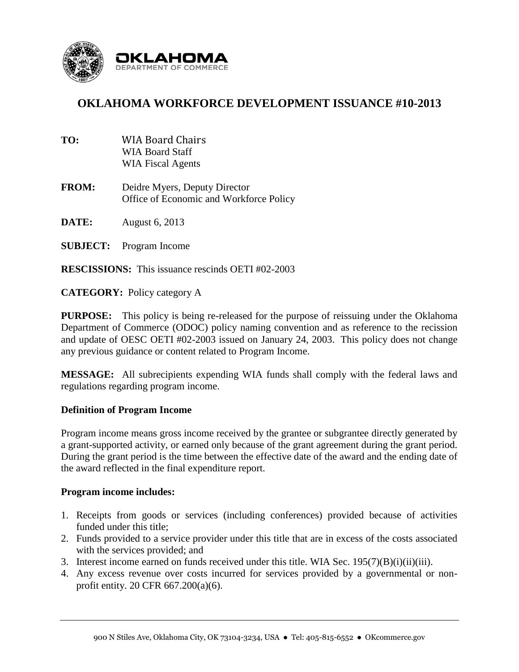

# **OKLAHOMA WORKFORCE DEVELOPMENT ISSUANCE #10-2013**

- **TO:** WIA Board Chairs WIA Board Staff WIA Fiscal Agents **FROM:** Deidre Myers, Deputy Director Office of Economic and Workforce Policy **DATE:** August 6, 2013 **SUBJECT:** Program Income
- **RESCISSIONS:** This issuance rescinds OETI #02-2003

**CATEGORY:** Policy category A

**PURPOSE:** This policy is being re-released for the purpose of reissuing under the Oklahoma Department of Commerce (ODOC) policy naming convention and as reference to the recission and update of OESC OETI #02-2003 issued on January 24, 2003. This policy does not change any previous guidance or content related to Program Income.

**MESSAGE:** All subrecipients expending WIA funds shall comply with the federal laws and regulations regarding program income.

## **Definition of Program Income**

Program income means gross income received by the grantee or subgrantee directly generated by a grant-supported activity, or earned only because of the grant agreement during the grant period. During the grant period is the time between the effective date of the award and the ending date of the award reflected in the final expenditure report.

## **Program income includes:**

- 1. Receipts from goods or services (including conferences) provided because of activities funded under this title;
- 2. Funds provided to a service provider under this title that are in excess of the costs associated with the services provided; and
- 3. Interest income earned on funds received under this title. WIA Sec. 195(7)(B)(i)(ii)(iii).
- 4. Any excess revenue over costs incurred for services provided by a governmental or nonprofit entity. 20 CFR 667.200(a)(6).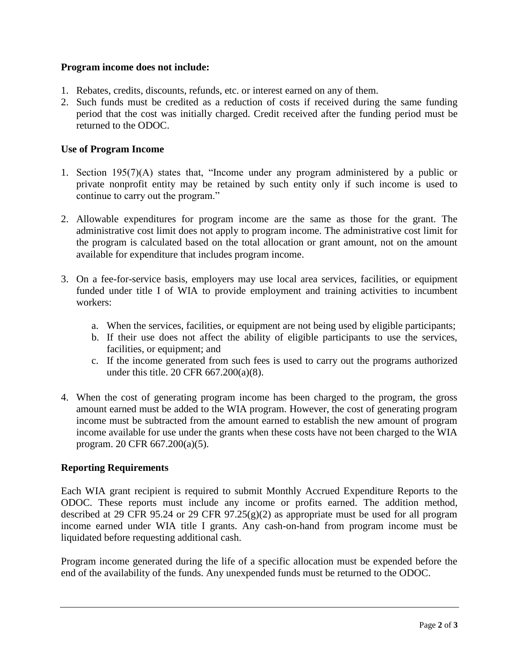## **Program income does not include:**

- 1. Rebates, credits, discounts, refunds, etc. or interest earned on any of them.
- 2. Such funds must be credited as a reduction of costs if received during the same funding period that the cost was initially charged. Credit received after the funding period must be returned to the ODOC.

## **Use of Program Income**

- 1. Section 195(7)(A) states that, "Income under any program administered by a public or private nonprofit entity may be retained by such entity only if such income is used to continue to carry out the program."
- 2. Allowable expenditures for program income are the same as those for the grant. The administrative cost limit does not apply to program income. The administrative cost limit for the program is calculated based on the total allocation or grant amount, not on the amount available for expenditure that includes program income.
- 3. On a fee-for-service basis, employers may use local area services, facilities, or equipment funded under title I of WIA to provide employment and training activities to incumbent workers:
	- a. When the services, facilities, or equipment are not being used by eligible participants;
	- b. If their use does not affect the ability of eligible participants to use the services, facilities, or equipment; and
	- c. If the income generated from such fees is used to carry out the programs authorized under this title. 20 CFR 667.200(a)(8).
- 4. When the cost of generating program income has been charged to the program, the gross amount earned must be added to the WIA program. However, the cost of generating program income must be subtracted from the amount earned to establish the new amount of program income available for use under the grants when these costs have not been charged to the WIA program. 20 CFR 667.200(a)(5).

## **Reporting Requirements**

Each WIA grant recipient is required to submit Monthly Accrued Expenditure Reports to the ODOC. These reports must include any income or profits earned. The addition method, described at 29 CFR 95.24 or 29 CFR 97.25 $(g)(2)$  as appropriate must be used for all program income earned under WIA title I grants. Any cash-on-hand from program income must be liquidated before requesting additional cash.

Program income generated during the life of a specific allocation must be expended before the end of the availability of the funds. Any unexpended funds must be returned to the ODOC.